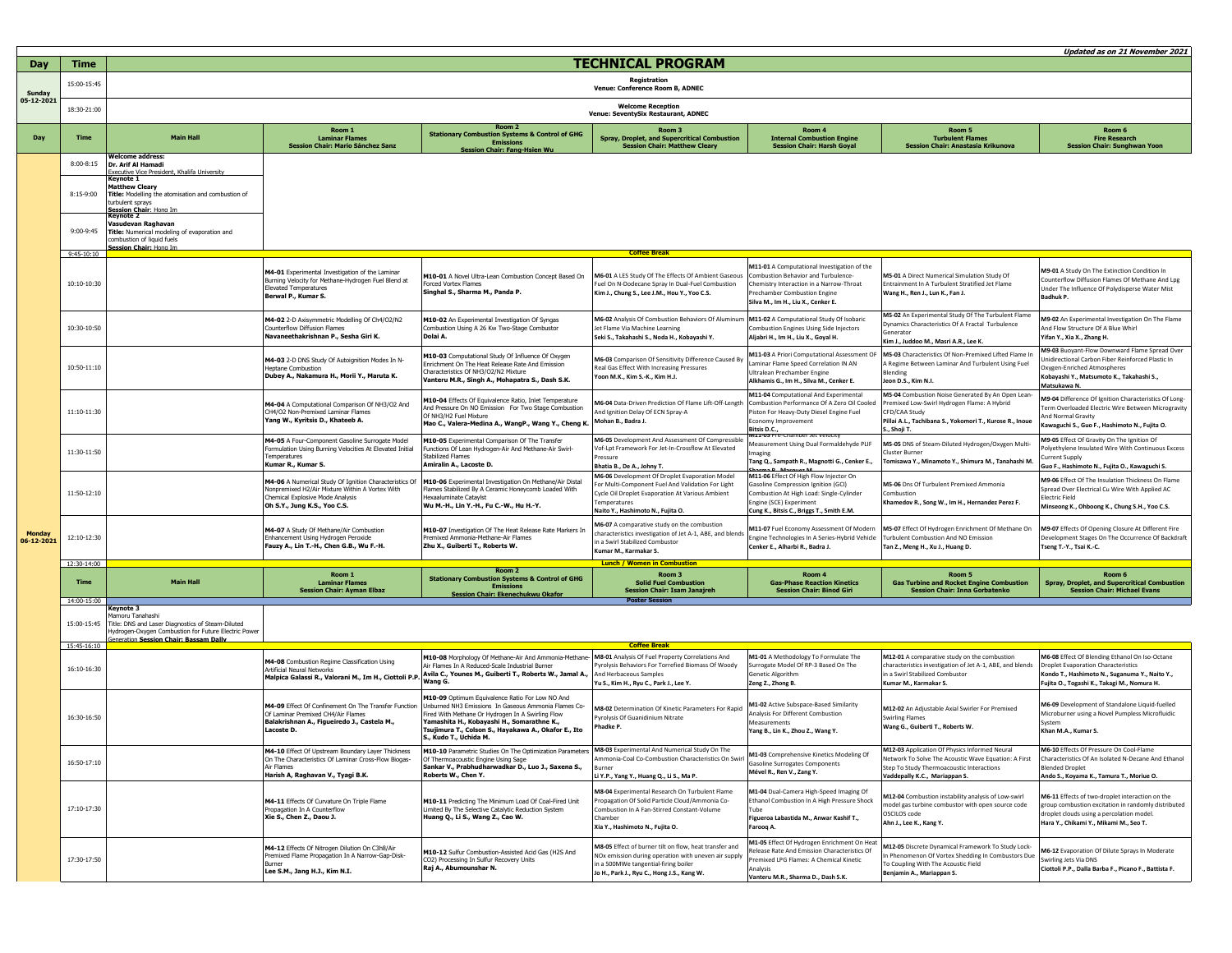|                             |                                         |                                                                                                                                                                                                                                                                                                                                            |                                                                                                                                                                               |                                                                                                                                                                                                                                                                                              |                                                                                                                                                                                                                     |                                                                                                                                                                                                           |                                                                                                                                                                                             | Updated as on 21 November 2021                                                                                                                                                                 |  |
|-----------------------------|-----------------------------------------|--------------------------------------------------------------------------------------------------------------------------------------------------------------------------------------------------------------------------------------------------------------------------------------------------------------------------------------------|-------------------------------------------------------------------------------------------------------------------------------------------------------------------------------|----------------------------------------------------------------------------------------------------------------------------------------------------------------------------------------------------------------------------------------------------------------------------------------------|---------------------------------------------------------------------------------------------------------------------------------------------------------------------------------------------------------------------|-----------------------------------------------------------------------------------------------------------------------------------------------------------------------------------------------------------|---------------------------------------------------------------------------------------------------------------------------------------------------------------------------------------------|------------------------------------------------------------------------------------------------------------------------------------------------------------------------------------------------|--|
| Day                         | Time                                    | <b>TECHNICAL PROGRAM</b>                                                                                                                                                                                                                                                                                                                   |                                                                                                                                                                               |                                                                                                                                                                                                                                                                                              |                                                                                                                                                                                                                     |                                                                                                                                                                                                           |                                                                                                                                                                                             |                                                                                                                                                                                                |  |
| <b>Sunday</b>               | 15:00-15:45                             | Registration<br>Venue: Conference Room B, ADNEC                                                                                                                                                                                                                                                                                            |                                                                                                                                                                               |                                                                                                                                                                                                                                                                                              |                                                                                                                                                                                                                     |                                                                                                                                                                                                           |                                                                                                                                                                                             |                                                                                                                                                                                                |  |
| 05-12-2021                  | 18:30-21:00                             | <b>Welcome Reception</b><br>Venue: SeventySix Restaurant, ADNEC                                                                                                                                                                                                                                                                            |                                                                                                                                                                               |                                                                                                                                                                                                                                                                                              |                                                                                                                                                                                                                     |                                                                                                                                                                                                           |                                                                                                                                                                                             |                                                                                                                                                                                                |  |
| Day                         | <b>Time</b>                             | <b>Main Hall</b>                                                                                                                                                                                                                                                                                                                           | Room 1<br><b>Laminar Flames</b><br>Session Chair: Mario Sánchez Sanz                                                                                                          | Room 2<br><b>Stationary Combu</b><br>stion Systems & Control of GHG<br><b>Emissic</b><br><b>Chair: Fang-H</b>                                                                                                                                                                                | Room 3<br><b>Spray, Droplet, and Supercritical Combustion</b><br><b>Session Chair: Matthew Cleary</b>                                                                                                               | Room 4<br><b>Internal Combustion Engine</b><br><b>Session Chair: Harsh Goyal</b>                                                                                                                          | Room 5<br><b>Turbulent Flames</b><br>Session Chair: Anastasia Krikunova                                                                                                                     | Room 6<br><b>Fire Research</b><br><b>Session Chair: Sunghwan Yoon</b>                                                                                                                          |  |
|                             | $8:00 - 8:15$<br>8:15-9:00<br>9:00-9:45 | <b>Nelcome address:</b><br>Dr. Arif Al Hamadi<br>xecutive Vice President. Khalifa University<br>Kevnote 1<br><b>Matthew Cleary</b><br>Title: Modelling the atomisation and combustion of<br>turbulent sprays<br>Session Chair: Hong Im<br>Vasudevan Raghavan<br>Title: Numerical modeling of evaporation and<br>combustion of liquid fuels |                                                                                                                                                                               |                                                                                                                                                                                                                                                                                              |                                                                                                                                                                                                                     |                                                                                                                                                                                                           |                                                                                                                                                                                             |                                                                                                                                                                                                |  |
|                             | $9:45-10:10$                            | <b>iession Chair: Hong Im</b>                                                                                                                                                                                                                                                                                                              |                                                                                                                                                                               |                                                                                                                                                                                                                                                                                              | <b>Coffee Break</b>                                                                                                                                                                                                 |                                                                                                                                                                                                           |                                                                                                                                                                                             |                                                                                                                                                                                                |  |
| <b>Monday</b><br>06-12-2021 | 10:10-10:30                             |                                                                                                                                                                                                                                                                                                                                            | M4-01 Experimental Investigation of the Laminar<br>Burning Velocity for Methane-Hydrogen Fuel Blend at<br><b>Elevated Temperatures</b><br>Berwal P., Kumar S.                 | M10-01 A Novel Ultra-Lean Combustion Concept Based On<br><b>Forced Vortex Flames</b><br>Singhal S., Sharma M., Panda P.                                                                                                                                                                      | M6-01 A LES Study Of The Effects Of Ambient Gaseous<br>Fuel On N-Dodecane Spray In Dual-Fuel Combustion<br>Kim J., Chung S., Lee J.M., Hou Y., Yoo C.S.                                                             | M11-01 A Computational Investigation of the<br>Combustion Behavior and Turbulence<br>Chemistry Interaction in a Narrow-Throat<br>Prechamber Combustion Engine<br>Silva M., Im H., Liu X., Cenker E.       | M5-01 A Direct Numerical Simulation Study Of<br>Entrainment In A Turbulent Stratified Jet Flame<br>Wang H., Ren J., Lun K., Fan J.                                                          | M9-01 A Study On The Extinction Condition In<br>Counterflow Diffusion Flames Of Methane And Lpg<br>Under The Influence Of Polydisperse Water Mist<br>Badhuk P.                                 |  |
|                             | 10:30-10:50                             |                                                                                                                                                                                                                                                                                                                                            | M4-02 2-D Axisymmetric Modelling Of Ch4/O2/N2<br>Counterflow Diffusion Flames<br>Navaneethakrishnan P., Sesha Giri K.                                                         | M10-02 An Experimental Investigation Of Syngas<br>Combustion Using A 26 Kw Two-Stage Combustor<br>Dolai A.                                                                                                                                                                                   | M6-02 Analysis Of Combustion Behaviors Of Aluminum<br>Jet Flame Via Machine Learning<br>Seki S., Takahashi S., Noda H., Kobayashi Y.                                                                                | M11-02 A Computational Study Of Isobaric<br>Combustion Engines Using Side Injectors<br>Aljabri H., Im H., Liu X., Goyal H.                                                                                | M5-02 An Experimental Study Of The Turbulent Flame<br>Dynamics Characteristics Of A Fractal Turbulence<br>Generator<br>Kim J., Juddoo M., Masri A.R., Lee K.                                | M9-02 An Experimental Investigation On The Flame<br>And Flow Structure Of A Blue Whirl<br>Yifan Y., Xia X., Zhang H.                                                                           |  |
|                             | 10:50-11:10                             |                                                                                                                                                                                                                                                                                                                                            | M4-03 2-D DNS Study Of Autoignition Modes In N-<br>Hentane Combustion<br>Dubey A., Nakamura H., Morii Y., Maruta K.                                                           | M10-03 Computational Study Of Influence Of Oxygen<br>Enrichment On The Heat Release Rate And Emission<br>Characteristics Of NH3/O2/N2 Mixture<br>Vanteru M.R., Singh A., Mohapatra S., Dash S.K.                                                                                             | M6-03 Comparison Of Sensitivity Difference Caused By<br>Real Gas Effect With Increasing Pressures<br>Yoon M.K., Kim S.-K., Kim H.J.                                                                                 | M11-03 A Priori Computational Assessment OF<br>Laminar Flame Speed Correlation IN AN<br>Ultralean Prechamber Engine<br>Alkhamis G., Im H., Silva M., Cenker E.                                            | M5-03 Characteristics Of Non-Premixed Lifted Flame II<br>A Regime Between Laminar And Turbulent Using Fuel<br>Blending<br>Jeon D.S., Kim N.I                                                | M9-03 Buoyant-Flow Downward Flame Spread Over<br>Unidirectional Carbon Fiber Reinforced Plastic In<br>Oxygen-Enriched Atmospheres<br>Kobavashi Y., Matsumoto K., Takahashi S.,<br>Matsukawa N. |  |
|                             | 11:10-11:30                             |                                                                                                                                                                                                                                                                                                                                            | M4-04 A Computational Comparison Of NH3/O2 And<br>CH4/02 Non-Premived Laminar Flames<br>Yang W., Kyritsis D., Khateeb A.                                                      | M10-04 Effects Of Equivalence Ratio, Inlet Temperature<br>And Pressure On NO Emission For Two Stage Combustion<br>Of NH3/H2 Fuel Mixture<br>Mao C., Valera-Medina A., WangP., Wang Y., Cheng K.                                                                                              | M6-04 Data-Driven Prediction Of Flame Lift-Off-Length<br>And Ignition Delay Of ECN Spray-A<br>Mohan B., Badra J.                                                                                                    | M11-04 Computational And Experimental<br>Combustion Performance Of A Zero Oil Cooled<br>Piston For Heavy-Duty Diesel Engine Fuel<br>conomy Improvement<br>Bitsis D.C.,<br>M11-05 Pre-Chamber Jet Velocity | M5-04 Combustion Noise Generated By An Open Lean<br>Premixed Low-Swirl Hydrogen Flame: A Hybrid<br>CFD/CAA Study<br>Pillai A.L., Tachibana S., Yokomori T., Kurose R., Inoue<br>., Shoji T. | M9-04 Difference Of Ignition Characteristics Of Long-<br>Term Overloaded Electric Wire Between Microgravity<br>And Normal Gravity<br>Kawaguchi S., Guo F., Hashimoto N., Fujita O.             |  |
|                             | 11:30-11:50                             |                                                                                                                                                                                                                                                                                                                                            | M4-05 A Four-Component Gasoline Surrogate Model<br>Formulation Using Burning Velocities At Elevated Initial<br>Temperatures<br>Kumar R., Kumar S.                             | M10-05 Experimental Comparison Of The Transfer<br>Functions Of Lean Hydrogen-Air And Methane-Air Swirl-<br><b>Stabilized Flames</b><br>Amiralin A., Lacoste D.                                                                                                                               | M6-05 Development And Assessment Of Compressible<br>Vof-Lpt Framework For Jet-In-Crossflow At Elevated<br>ressure<br>Bhatia B., De A., Johny T.                                                                     | Measurement Using Dual Formaldehyde PLIF<br>naging<br>Tang Q., Sampath R., Magnotti G., Cenker E.,                                                                                                        | M5-05 DNS of Steam-Diluted Hydrogen/Oxygen Multi-<br>luster Burne<br>Tomisawa Y., Minamoto Y., Shimura M., Tanahashi M.                                                                     | M9-05 Effect Of Gravity On The Ignition Of<br>Polyethylene Insulated Wire With Continuous Excess<br>Current Supply<br>Guo F., Hashimoto N., Fujita O., Kawaguchi S.                            |  |
|                             | 11:50-12:10                             |                                                                                                                                                                                                                                                                                                                                            | M4-06 A Numerical Study Of Ignition Characteristics Of<br>Nonnremixed H2/Air Mixture Within A Vortex With<br>Chemical Explosive Mode Analysis<br>Oh S.Y., Jung K.S., Yoo C.S. | M10-06 Experimental Investigation On Methane/Air Distal<br>Flames Stabilized By A Ceramic Honeycomb Loaded With<br><b>Hexaaluminate Cataylst</b><br>Wu M .- H., Lin Y .- H., Fu C .- W., Hu H .- Y.                                                                                          | <b>M6-06</b> Development Of Droplet Evaporation Model<br>For Multi-Component Fuel And Validation For Light<br>Cycle Oil Droplet Evaporation At Various Ambient<br>Temperatures<br>Naito Y., Hashimoto N., Fujita O. | M11-06 Effect Of High Flow Injector On<br>Gasoline Compression Ignition (GCI)<br>Combustion At High Load: Single-Cylinder<br>Engine (SCE) Experiment<br>Cung K., Bitsis C., Briggs T., Smith E.M.         | M5-06 Dns Of Turbulent Premixed Ammonia<br>Combustion<br>Khamedov R., Song W., Im H., Hernandez Perez F.                                                                                    | M9-06 Effect Of The Insulation Thickness On Flame<br>Spread Over Electrical Cu Wire With Applied AC<br><b>Electric Field</b><br>Minseong K., Ohboong K., Chung S.H., Yoo C.S.                  |  |
|                             | 12:10-12:30                             |                                                                                                                                                                                                                                                                                                                                            | M4-07 A Study Of Methane/Air Combustion<br>Enhancement Using Hydrogen Peroxide<br>Fauzy A., Lin T.-H., Chen G.B., Wu F.-H.                                                    | M10-07 Investigation Of The Heat Release Rate Markers In<br>Premixed Ammonia-Methane-Air Flames<br>Zhu X., Guiberti T., Roberts W.                                                                                                                                                           | M6-07 A comparative study on the combustion<br>characteristics investigation of Jet A-1, ABE, and blends<br>n a Swirl Stabilized Combustor<br>Kumar M., Karmakar S.                                                 | M11-07 Fuel Economy Assessment Of Modern<br>Engine Technologies In A Series-Hybrid Vehicle<br>Cenker E., Alharbi R., Badra J                                                                              | M5-07 Effect Of Hydrogen Enrichment Of Methane On<br>Turbulent Combustion And NO Emission<br>Tan Z., Meng H., Xu J., Huang D.                                                               | M9-07 Effects Of Opening Closure At Different Fire<br>Development Stages On The Occurrence Of Backdraft<br>Tseng T.-Y., Tsai K.-C.                                                             |  |
|                             | 12:30-14:00                             | <b>Lunch / Women in Combustion</b><br>Room <sub>2</sub>                                                                                                                                                                                                                                                                                    |                                                                                                                                                                               |                                                                                                                                                                                                                                                                                              |                                                                                                                                                                                                                     |                                                                                                                                                                                                           |                                                                                                                                                                                             |                                                                                                                                                                                                |  |
|                             | <b>Time</b>                             | <b>Main Hall</b>                                                                                                                                                                                                                                                                                                                           | Room 1<br><b>Laminar Flames</b><br><b>Session Chair: Ayman Elbaz</b>                                                                                                          | tion Systems & Control of GHG<br><b>Stationary Comb</b><br><b>Session Chair: Ekenechukwu Okafor</b>                                                                                                                                                                                          | Room 3<br><b>Solid Fuel Combustion</b><br><b>Session Chair: Isam Janajreh</b>                                                                                                                                       | Room 4<br><b>Gas-Phase Reaction Kinetics</b><br><b>Session Chair: Binod Giri</b>                                                                                                                          | Room 5<br><b>Gas Turbine and Rocket Engine Combustion</b><br><b>Session Chair: Inna Gorbatenko</b>                                                                                          | Room 6<br><b>Spray, Droplet, and Supercritical Combustic</b><br><b>Session Chair: Michael Evans</b>                                                                                            |  |
|                             | 14:00-15:00<br>15:00-15:45              | Keynote 3<br>Mamoru Tanahashi<br>Title: DNS and Laser Diagnostics of Steam-Diluted<br>Hydrogen-Oxygen Combustion for Future Electric Power<br>Generation Session Chair: Bassam Dally                                                                                                                                                       |                                                                                                                                                                               |                                                                                                                                                                                                                                                                                              | <b>Poster Session</b>                                                                                                                                                                                               |                                                                                                                                                                                                           |                                                                                                                                                                                             |                                                                                                                                                                                                |  |
|                             | 15:45-16:10                             |                                                                                                                                                                                                                                                                                                                                            |                                                                                                                                                                               |                                                                                                                                                                                                                                                                                              | <b>Coffee Break</b>                                                                                                                                                                                                 |                                                                                                                                                                                                           |                                                                                                                                                                                             |                                                                                                                                                                                                |  |
|                             | 16:10-16:30                             |                                                                                                                                                                                                                                                                                                                                            | M4-08 Combustion Regime Classification Using<br>Artificial Neural Networks<br>falpica Galassi R., Valorani M., Im H., Ciottoli P.F                                            | M10-08 Morphology Of Methane-Air And Ammonia-Methane-<br>Air Flames In A Reduced-Scale Industrial Burner<br>Avila C., Younes M., Guiberti T., Roberts W., Jamal A.,<br>Wang G.                                                                                                               | M8-01 Analysis Of Fuel Property Correlations And<br>Pyrolysis Behaviors For Torrefied Biomass Of Woody<br>And Herbaceous Samples<br>Yu S., Kim H., Ryu C., Park J., Lee Y.                                          | M1-01 A Methodology To Formulate The<br>Surrogate Model Of RP-3 Based On The<br>Genetic Algorithm<br>Zeng Z., Zhong B.                                                                                    | M12-01 A comparative study on the combustion<br>characteristics investigation of Jet A-1, ABE, and blends<br>in a Swirl Stabilized Combustor<br>Kumar M., Karmakar S.                       | M6-08 Effect Of Blending Ethanol On Iso-Octane<br><b>Droplet Evaporation Characteristics</b><br>Kondo T., Hashimoto N., Suganuma Y., Naito Y.,<br>Fujita O., Togashi K., Takagi M., Nomura H.  |  |
|                             | 16:30-16:50                             |                                                                                                                                                                                                                                                                                                                                            | M4-09 Effect Of Confinement On The Transfer Function<br>Of Laminar Premixed CH4/Air Flames<br>Balakrishnan A., Figueiredo J., Castela M.,<br>Lacoste D.                       | M10-09 Optimum Equivalence Ratio For Low NO And<br>Unburned NH3 Emissions In Gaseous Ammonia Flames Co-<br>Fired With Methane Or Hydrogen In A Swirling Flow<br>Yamashita H., Kobayashi H., Somarathne K.,<br>Tsujimura T., Colson S., Hayakawa A., Okafor E., Ito<br>S., Kudo T., Uchida M. | M8-02 Determination Of Kinetic Parameters For Rapid<br>Pyrolysis Of Guanidinium Nitrate<br>hadke P.                                                                                                                 | M1-02 Active Subspace-Based Similarity<br><b>Analysis For Different Combustion</b><br>Measurements<br>Yang B., Lin K., Zhou Z., Wang Y.                                                                   | M12-02 An Adjustable Axial Swirler For Premixed<br><b>Swirling Flames</b><br>Wang G., Guiberti T., Roberts W.                                                                               | M6-09 Development of Standalone Liquid-fuelled<br>Microburner using a Novel Pumpless Microfluidic<br>System<br>Khan M.A., Kumar S.                                                             |  |
|                             | 16:50-17:10                             |                                                                                                                                                                                                                                                                                                                                            | M4-10 Effect Of Upstream Boundary Layer Thickness<br>On The Characteristics Of Laminar Cross-Flow Biogas-<br>Air Flames<br>Harish A, Raghavan V., Tyagi B.K.                  | M10-10 Parametric Studies On The Optimization Parameters<br>Of Thermoacoustic Engine Using Sage<br>Sankar V., Prabhudharwadkar D., Luo J., Saxena S.,<br>Roberts W., Chen Y.                                                                                                                 | M8-03 Experimental And Numerical Study On The<br>Immonia-Coal Co-Combustion Characteristics On Swirl<br>Burner<br>Li Y.P., Yang Y., Huang Q., Li S., Ma P.                                                          | M1-03 Comprehensive Kinetics Modeling Of<br><b>Gasoline Surrogates Components</b><br>Mével R., Ren V., Zang Y.                                                                                            | M12-03 Application Of Physics Informed Neural<br>Network To Solve The Acoustic Wave Equation: A First<br>Step To Study Thermoacoustic Interactions<br>Vaddepally K.C., Mariappan S.         | M6-10 Effects Of Pressure On Cool-Flame<br>Characteristics Of An Isolated N-Decane And Ethanol<br><b>Blended Droplet</b><br>Ando S., Koyama K., Tamura T., Moriue O.                           |  |
|                             | 17:10-17:30                             |                                                                                                                                                                                                                                                                                                                                            | M4-11 Effects Of Curvature On Triple Flame<br>Propagation In A Counterflow<br>Xie S., Chen Z., Daou J.                                                                        | M10-11 Predicting The Minimum Load Of Coal-Fired Unit<br>Limited By The Selective Catalytic Reduction System<br>Huang Q., Li S., Wang Z., Cao W.                                                                                                                                             | M8-04 Experimental Research On Turbulent Flame<br>Propagation Of Solid Particle Cloud/Ammonia Co-<br>Combustion In A Fan-Stirred Constant-Volume<br>Chamber<br>Xia Y., Hashimoto N., Fujita O.                      | M1-04 Dual-Camera High-Speed Imaging Of<br>Ethanol Combustion In A High Pressure Shock<br>Tube<br>Figueroa Labastida M., Anwar Kashif T.,<br>Farooq A.                                                    | M12-04 Combustion instability analysis of Low-swirl<br>model gas turbine combustor with open source code<br>OSCILOS code<br>Ahn J., Lee K., Kang Y.                                         | M6-11 Effects of two-droplet interaction on the<br>group combustion excitation in randomly distributed<br>droplet clouds using a percolation model.<br>Hara Y., Chikami Y., Mikami M., Seo T.  |  |
|                             | 17:30-17:50                             |                                                                                                                                                                                                                                                                                                                                            | M4-12 Effects Of Nitrogen Dilution On C3h8/Air<br>Premixed Flame Propagation In A Narrow-Gap-Disk-<br>Lee S.M., Jang H.J., Kim N.I.                                           | M10-12 Sulfur Combustion-Assisted Acid Gas (H2S And<br>CO2) Processing In Sulfur Recovery Units<br>Raj A., Abumounshar N.                                                                                                                                                                    | M8-05 Effect of burner tilt on flow, heat transfer and<br>NOx emission during operation with uneven air supply<br>in a 500MWe tangential-firing boiler<br>Jo H., Park J., Ryu C., Hong J.S., Kang W.                | M1-05 Effect Of Hydrogen Enrichment On Heat<br>Release Rate And Emission Characteristics Of<br>Premixed LPG Flames: A Chemical Kinetic<br>Analysis<br>Janteru M.R., Sharma D., Dash S.K.                  | M12-05 Discrete Dynamical Framework To Study Lock-<br>In Phenomenon Of Vortex Shedding In Combustors Due<br>To Coupling With The Acoustic Field<br>Benjamin A., Mariappan S.                | M6-12 Evaporation Of Dilute Sprays In Moderate<br>Swirling Jets Via DNS<br>Ciottoli P.P., Dalla Barba F., Picano F., Battista F.                                                               |  |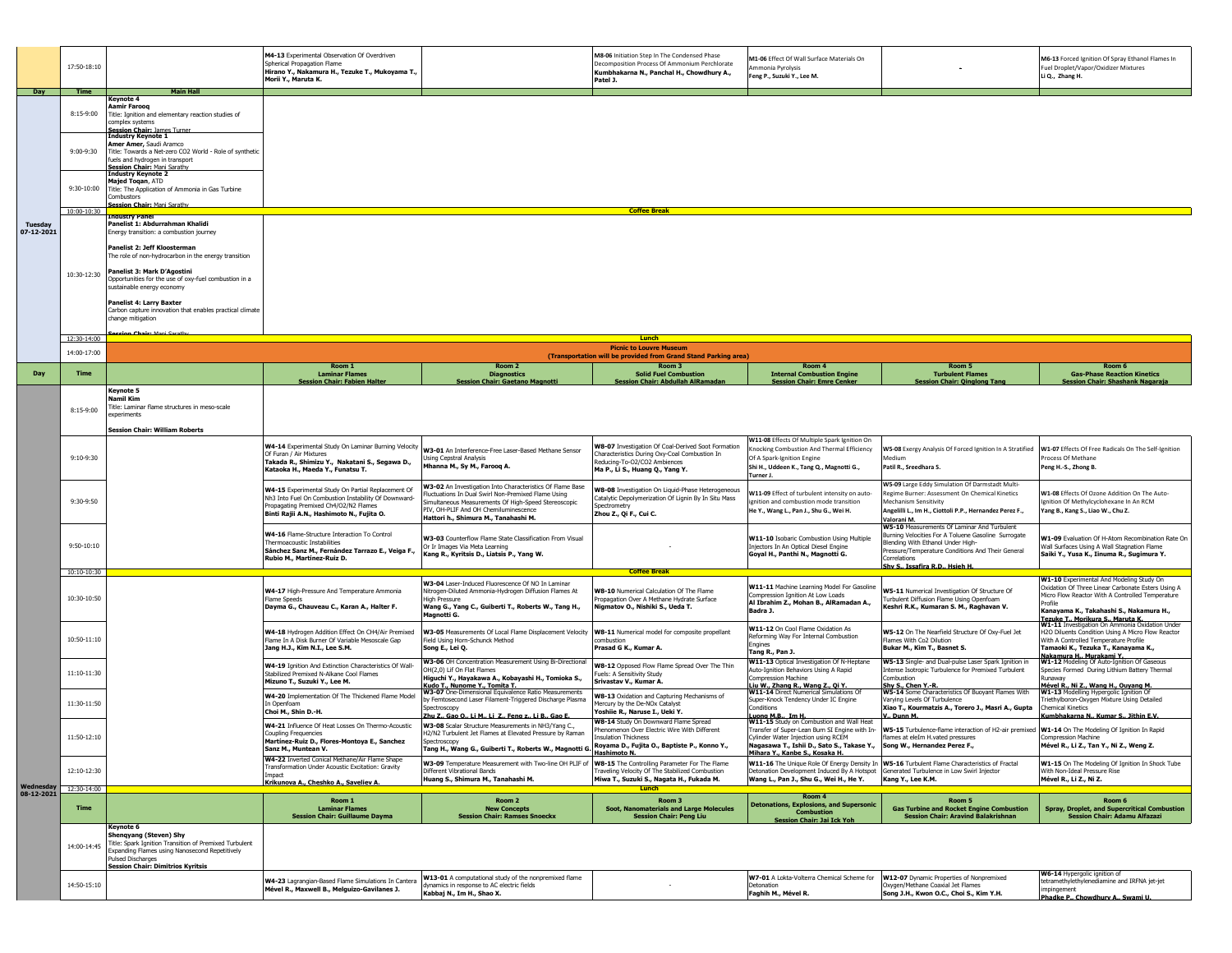|                                     | 17:50-18:10                                                                                                      |                                                                                                                                                                                                                                                                                                                                    | M4-13 Experimental Observation Of Overdriven<br>Spherical Propagation Flame<br>Hirano Y., Nakamura H., Tezuke T., Mukoyama T.,<br>Morii Y., Maruta K.                                            |                                                                                                                                                                                                                                                           | M8-06 Initiation Step In The Condensed Phase<br>Decomposition Process Of Ammonium Perchlorate<br>Kumbhakarna N., Panchal H., Chowdhury A.,<br>Patel J.                 | M1-06 Effect Of Wall Surface Materials On<br>mmonia Pyrolysis<br>Feng P., Suzuki Y., Lee M.                                                                                                           |                                                                                                                                                                                                                                                        | M6-13 Forced Ignition Of Spray Ethanol Flames In<br>Fuel Droplet/Vapor/Oxidizer Mixtures<br>Li Q., Zhang H.                                                                                                     |  |
|-------------------------------------|------------------------------------------------------------------------------------------------------------------|------------------------------------------------------------------------------------------------------------------------------------------------------------------------------------------------------------------------------------------------------------------------------------------------------------------------------------|--------------------------------------------------------------------------------------------------------------------------------------------------------------------------------------------------|-----------------------------------------------------------------------------------------------------------------------------------------------------------------------------------------------------------------------------------------------------------|------------------------------------------------------------------------------------------------------------------------------------------------------------------------|-------------------------------------------------------------------------------------------------------------------------------------------------------------------------------------------------------|--------------------------------------------------------------------------------------------------------------------------------------------------------------------------------------------------------------------------------------------------------|-----------------------------------------------------------------------------------------------------------------------------------------------------------------------------------------------------------------|--|
| Day                                 | <b>Time</b>                                                                                                      | <b>Main Hall</b><br>Kevnote 4                                                                                                                                                                                                                                                                                                      |                                                                                                                                                                                                  |                                                                                                                                                                                                                                                           |                                                                                                                                                                        |                                                                                                                                                                                                       |                                                                                                                                                                                                                                                        |                                                                                                                                                                                                                 |  |
| <b>Tuesday</b><br>07-12-2021        | 8:15-9:00                                                                                                        | Aamir Farooq<br>Title: Ignition and elementary reaction studies of<br>complex systems<br>Session Chair: James Turner<br>Industry Keynote 1                                                                                                                                                                                         |                                                                                                                                                                                                  |                                                                                                                                                                                                                                                           |                                                                                                                                                                        |                                                                                                                                                                                                       |                                                                                                                                                                                                                                                        |                                                                                                                                                                                                                 |  |
|                                     | 9:00-9:30                                                                                                        | Amer Amer, Saudi Aramco<br>Title: Towards a Net-zero CO2 World - Role of synthetic<br>fuels and hydrogen in transport<br>Session Chair: Mani Sarathy<br>Industry Keynote 2                                                                                                                                                         |                                                                                                                                                                                                  |                                                                                                                                                                                                                                                           |                                                                                                                                                                        |                                                                                                                                                                                                       |                                                                                                                                                                                                                                                        |                                                                                                                                                                                                                 |  |
|                                     | $9:30-10:00$                                                                                                     | Majed Toqan, ATD<br>Title: The Application of Ammonia in Gas Turbine<br>Combustors<br>Session Chair: Mani Sarathy                                                                                                                                                                                                                  |                                                                                                                                                                                                  |                                                                                                                                                                                                                                                           |                                                                                                                                                                        |                                                                                                                                                                                                       |                                                                                                                                                                                                                                                        |                                                                                                                                                                                                                 |  |
|                                     | 10:00-10:30                                                                                                      | ingustry Panel                                                                                                                                                                                                                                                                                                                     | <b>Coffee Break</b>                                                                                                                                                                              |                                                                                                                                                                                                                                                           |                                                                                                                                                                        |                                                                                                                                                                                                       |                                                                                                                                                                                                                                                        |                                                                                                                                                                                                                 |  |
|                                     |                                                                                                                  | Panelist 1: Abdurrahman Khalidi<br>Energy transition: a combustion journey<br>Panelist 2: Jeff Kloosterman<br>The role of non-hydrocarbon in the energy transition                                                                                                                                                                 |                                                                                                                                                                                                  |                                                                                                                                                                                                                                                           |                                                                                                                                                                        |                                                                                                                                                                                                       |                                                                                                                                                                                                                                                        |                                                                                                                                                                                                                 |  |
|                                     | 10:30-12:30                                                                                                      | Panelist 3: Mark D'Agostini<br>Opportunities for the use of oxy-fuel combustion in a<br>sustainable energy economy                                                                                                                                                                                                                 |                                                                                                                                                                                                  |                                                                                                                                                                                                                                                           |                                                                                                                                                                        |                                                                                                                                                                                                       |                                                                                                                                                                                                                                                        |                                                                                                                                                                                                                 |  |
|                                     | <b>Panelist 4: Larry Baxter</b><br>Carbon capture innovation that enables practical climate<br>change mitigation |                                                                                                                                                                                                                                                                                                                                    |                                                                                                                                                                                                  |                                                                                                                                                                                                                                                           |                                                                                                                                                                        |                                                                                                                                                                                                       |                                                                                                                                                                                                                                                        |                                                                                                                                                                                                                 |  |
|                                     |                                                                                                                  |                                                                                                                                                                                                                                                                                                                                    |                                                                                                                                                                                                  |                                                                                                                                                                                                                                                           | Lunch                                                                                                                                                                  |                                                                                                                                                                                                       |                                                                                                                                                                                                                                                        |                                                                                                                                                                                                                 |  |
|                                     | 12:30-14:00                                                                                                      |                                                                                                                                                                                                                                                                                                                                    |                                                                                                                                                                                                  |                                                                                                                                                                                                                                                           | <b>Picnic to Louvre Museum</b>                                                                                                                                         |                                                                                                                                                                                                       |                                                                                                                                                                                                                                                        |                                                                                                                                                                                                                 |  |
|                                     | 14:00-17:00                                                                                                      |                                                                                                                                                                                                                                                                                                                                    |                                                                                                                                                                                                  |                                                                                                                                                                                                                                                           | (Transportation will be provided from Grand Stand Parking area)                                                                                                        |                                                                                                                                                                                                       |                                                                                                                                                                                                                                                        |                                                                                                                                                                                                                 |  |
| Day                                 | <b>Time</b>                                                                                                      |                                                                                                                                                                                                                                                                                                                                    | Room 1<br><b>Laminar Flames</b>                                                                                                                                                                  | Room 2<br><b>Diagnostics</b>                                                                                                                                                                                                                              | Room 3<br><b>Solid Fuel Combustion</b>                                                                                                                                 | Room 4<br><b>Internal Combustion Engine</b>                                                                                                                                                           | Room 5<br><b>Turbulent Flames</b>                                                                                                                                                                                                                      | Room 6<br><b>Gas-Phase Reaction Kinetics</b>                                                                                                                                                                    |  |
|                                     | 8:15-9:00                                                                                                        | <b>Session Chair: Fabien Halter</b><br>Session Chair: Gaetano Mao<br>sion Chair: Abdullah AlRamad<br><b>Session Chair: Emre Cenker</b><br>sion Chair: Oinglong Tan<br>Session Chair: Shashank Nagaraia<br>Keynote 5<br>Namil Kim<br>Fitle: Laminar flame structures in meso-scale<br>experiments<br>Session Chair: William Roberts |                                                                                                                                                                                                  |                                                                                                                                                                                                                                                           |                                                                                                                                                                        |                                                                                                                                                                                                       |                                                                                                                                                                                                                                                        |                                                                                                                                                                                                                 |  |
|                                     | 9:10-9:30                                                                                                        |                                                                                                                                                                                                                                                                                                                                    | W4-14 Experimental Study On Laminar Burning Velocity<br>Of Furan / Air Mixtures<br>Takada R., Shimizu Y., Nakatani S., Segawa D.,<br>Kataoka H., Maeda Y., Funatsu T.                            | W3-01 An Interference-Free Laser-Based Methane Sensor<br><b>Jsing Cepstral Analysis</b><br>Mhanna M., Sy M., Farooq A.                                                                                                                                    | W8-07 Investigation Of Coal-Derived Soot Formation<br>Characteristics During Oxy-Coal Combustion In<br>Reducing-To-O2/CO2 Ambiences<br>Ma P., Li S., Huang Q., Yang Y. | W11-08 Effects Of Multiple Spark Ignition On<br>Knocking Combustion And Thermal Efficiency<br>Of A Spark-Ignition Engine<br>Shi H., Uddeen K., Tang Q., Magnotti G.,<br>Turner J.                     | W5-08 Exergy Analysis Of Forced Ignition In A Stratified W1-07 Effects Of Free Radicals On The Self-Ignition<br>Medium<br>Patil R., Sreedhara S.                                                                                                       | Process Of Methane<br>Peng H.-S., Zhong B.                                                                                                                                                                      |  |
|                                     | 9:30-9:50                                                                                                        |                                                                                                                                                                                                                                                                                                                                    | W4-15 Experimental Study On Partial Replacement Of<br>Nh3 Into Fuel On Combustion Instability Of Downward-<br>Propagating Premixed Ch4/O2/N2 Flames<br>Binti Rajii A.N., Hashimoto N., Fujita O. | W3-02 An Investigation Into Characteristics Of Flame Base<br>Fluctuations In Dual Swirl Non-Premixed Flame Using<br>Simultaneous Measurements Of High-Speed Stereoscopic<br>PIV, OH-PLIF And OH Chemiluminescence<br>Hattori h., Shimura M., Tanahashi M. | W8-08 Investigation On Liquid-Phase Heterogeneous<br>Catalytic Depolymerization Of Lignin By In Situ Mass<br>Spectrometry<br>Zhou Z., Qi F., Cui C.                    | W11-09 Effect of turbulent intensity on auto-<br>ignition and combustion mode transition<br>He Y., Wang L., Pan J., Shu G., Wei H.                                                                    | W5-09 Large Eddy Simulation Of Darmstadt Multi-<br>Regime Burner: Assessment On Chemical Kinetics<br><b>Mechanism Sensitivity</b><br>Angelilli L., Im H., Ciottoli P.P., Hernandez Perez F.,<br>Valorani M.                                            | W1-08 Effects Of Ozone Addition On The Auto-<br>Ignition Of Methylcyclohexane In An RCM<br>Yang B., Kang S., Liao W., Chu Z.                                                                                    |  |
|                                     | $9:50 - 10:10$                                                                                                   |                                                                                                                                                                                                                                                                                                                                    | W4-16 Flame-Structure Interaction To Control<br>Thermoacoustic Instabilities<br>Sánchez Sanz M., Fernández Tarrazo E., Veiga F.,<br>Rubio M., Martínez-Ruiz D.                                   | W3-03 Counterflow Flame State Classification From Visual<br>Or Ir Images Via Meta Learning<br>Kang R., Kyritsis D., Liatsis P., Yang W.                                                                                                                   |                                                                                                                                                                        | W11-10 Isobaric Combustion Using Multiple<br>Injectors In An Optical Diesel Engine<br>Goyal H., Panthi N., Magnotti G.                                                                                | W5-10 Measurements Of Laminar And Turbulent<br>Burning Velocities For A Toluene Gasoline Surrogate<br>Blending With Ethanol Under High-<br>Pressure/Temperature Conditions And Their General<br>Correlations<br><u>Shv S., Issafira R.D., Hsieh H.</u> | W1-09 Evaluation Of H-Atom Recombination Rate On<br>Wall Surfaces Using A Wall Stagnation Flame<br>Saiki Y., Yusa K., Iinuma R., Sugimura Y.                                                                    |  |
|                                     | 10:10-10:30                                                                                                      |                                                                                                                                                                                                                                                                                                                                    |                                                                                                                                                                                                  |                                                                                                                                                                                                                                                           | <b>Coffee Break</b>                                                                                                                                                    |                                                                                                                                                                                                       |                                                                                                                                                                                                                                                        | W1-10 Experimental And Modeling Study On                                                                                                                                                                        |  |
| Wednesday 12:30-14:00<br>08-12-2021 | 10:30-10:50                                                                                                      |                                                                                                                                                                                                                                                                                                                                    | W4-17 High-Pressure And Temperature Ammonia<br>Flame Speeds<br>Dayma G., Chauveau C., Karan A., Halter F.                                                                                        | W3-04 Laser-Induced Fluorescence Of NO In Laminar<br>Nitrogen-Diluted Ammonia-Hydrogen Diffusion Flames At<br><b>High Pressure</b><br>Wang G., Yang C., Guiberti T., Roberts W., Tang H.,<br>Magnotti G.                                                  | W8-10 Numerical Calculation Of The Flame<br>ropagation Over A Methane Hydrate Surface<br>Nigmatov O., Nishiki S., Ueda T.                                              | W11-11 Machine Learning Model For Gasoline<br>Compression Ignition At Low Loads<br>Al Ibrahim Z., Mohan B., AlRamadan A.,<br>Badra J.                                                                 | W5-11 Numerical Investigation Of Structure Of<br>Turbulent Diffusion Flame Using Openfoam<br>Keshri R.K., Kumaran S. M., Raghavan V.                                                                                                                   | Oxidation Of Three Linear Carbonate Esters Using A<br>Micro Flow Reactor With A Controlled Temperature<br>Profile<br>Kanayama K., Takahashi S., Nakamura H.,<br>Tezuke T., Morikura S., Maruta K.               |  |
|                                     | 10:50-11:10                                                                                                      |                                                                                                                                                                                                                                                                                                                                    | W4-18 Hydrogen Addition Effect On CH4/Air Premixed<br>Flame In A Disk Burner Of Variable Mesoscale Gap<br>Jang H.J., Kim N.I., Lee S.M.                                                          | W3-05 Measurements Of Local Flame Displacement Velocity<br>Field Using Horn-Schunck Method<br>Song E., Lei Q.                                                                                                                                             | W8-11 Numerical model for composite propellant<br>ombustion<br>Prasad G K., Kumar A.                                                                                   | W11-12 On Cool Flame Oxidation As<br>Reforming Way For Internal Combustion<br>Engines<br>Tang R., Pan J.                                                                                              | W5-12 On The Nearfield Structure Of Oxy-Fuel Jet<br>Flames With Co2 Dilution<br>Bukar M., Kim T., Basnet S.                                                                                                                                            | W1-11 Investigation On Ammonia Oxidation Under<br>H2O Diluents Condition Using A Micro Flow Reactor<br>With A Controlled Temperature Profile<br>Tamaoki K., Tezuka T., Kanayama K.,<br>Nakamura H., Murakami Y. |  |
|                                     | 11:10-11:30                                                                                                      |                                                                                                                                                                                                                                                                                                                                    | W4-19 Ignition And Extinction Characteristics Of Wall-<br>Stabilized Premixed N-Alkane Cool Flames<br>Mizuno T., Suzuki Y., Lee M.                                                               | W3-06 OH Concentration Measurement Using Bi-Directional<br>OH(2,0) Lif On Flat Flames<br>Higuchi Y., Hayakawa A., Kobayashi H., Tomioka S.,<br>Kudo T Nunome Y Tomita T.<br>W3-07 One-Dimensional Equivalence Ratio Measurements                          | W8-12 Opposed Flow Flame Spread Over The Thin<br>uels: A Sensitivity Study<br>Srivastav V., Kumar A.                                                                   | W11-13 Optical Investigation Of N-Heptane<br>Auto-Ignition Behaviors Using A Rapid<br><b>Compression Machine</b><br>Liu W., Zhang R., Wang Z., Oi Y.<br>W11-14 Direct Numerical Simulations Of        | W5-13 Single- and Dual-pulse Laser Spark Ignition in<br>Intense Isotropic Turbulence for Premixed Turbulent<br>Combustion<br>Shv S., Chen Y.-R.<br>W5-14 Some Characteristics Of Buoyant Flames With                                                   | W1-12 Modeling Of Auto-Ignition Of Gaseous<br>Species Formed During Lithium Battery Thermal<br>Runaway<br>Mével R., Ni Z., Wang H., Ouvang M<br>W1-13 Modelling Hypergolic Ignition Of                          |  |
|                                     | 11:30-11:50                                                                                                      |                                                                                                                                                                                                                                                                                                                                    | W4-20 Implementation Of The Thickened Flame Model<br>In Openfoam<br>Choi M., Shin D.-H.                                                                                                          | by Femtosecond Laser Filament-Triggered Discharge Plasma<br>Spectroscopy<br>Zhu Z., Gao O., Li M., Li Z., Feng z., Li B., Gao E                                                                                                                           | W8-13 Oxidation and Capturing Mechanisms of<br>Mercury by the De-NOx Catalyst<br>'oshiie R., Naruse I., Ueki Y.<br>W8-14 Study On Downward Flame Spread                | Super-Knock Tendency Under IC Engine<br>Conditions<br>Luong M.B., Im H.<br>W11-15 Study on Combustion and Wall Heat                                                                                   | Varying Levels Of Turbulence<br>Xiao T., Kourmatzis A., Torero J., Masri A., Gupta<br>1 Dunn M                                                                                                                                                         | Triethylboron-Oxygen Mixture Using Detailed<br><b>Chemical Kinetics</b><br><b>Kumbhakarna N., Kumar S., Jithin E.V.</b>                                                                                         |  |
|                                     | 11:50-12:10                                                                                                      |                                                                                                                                                                                                                                                                                                                                    | W4-21 Influence Of Heat Losses On Thermo-Acoustic<br><b>Coupling Frequencies</b><br>Martínez-Ruiz D., Flores-Montoya E., Sanchez<br>Sanz M., Muntean V.                                          | W3-08 Scalar Structure Measurements in NH3/Yang C.,<br>H2/N2 Turbulent Jet Flames at Elevated Pressure by Raman<br>Spectroscopy<br>Tang H., Wang G., Guiberti T., Roberts W., Magnotti G.                                                                 | Phenomenon Over Electric Wire With Different<br>nsulation Thickness<br>Royama D., Fujita O., Baptiste P., Konno Y.,<br>Hashimoto N.                                    | Transfer of Super-Lean Burn SI Engine with In-<br>Cylinder Water Injection using RCEM<br>Nagasawa T., Ishii D., Sato S., Takase Y.,    Song W., Hernandez Perez F.,<br>Mihara Y., Kanbe S., Kosaka H. | W5-15 Turbulence-flame interaction of H2-air premixed W1-14 On The Modeling Of Ignition In Rapid<br>flames at eleIm H.vated pressures                                                                                                                  | Compression Machine<br>Mével R., Li Z., Tan Y., Ni Z., Weng Z.                                                                                                                                                  |  |
|                                     | 12:10-12:30                                                                                                      |                                                                                                                                                                                                                                                                                                                                    | W4-22 Inverted Conical Methane/Air Flame Shape<br>Transformation Under Acoustic Excitation: Gravity<br>Impact<br>Krikunova A., Cheshko A., Saveliev A.                                           | W3-09 Temperature Measurement with Two-line OH PLIF of<br>Different Vibrational Bands<br>Huang S., Shimura M., Tanahashi M.                                                                                                                               | W8-15 The Controlling Parameter For The Flame<br>Traveling Velocity Of The Stabilized Combustion<br>Miwa T., Suzuki S., Nagata H., Fukada M.<br>Lunch                  | Detonation Development Induced By A Hotspot Generated Turbulence in Low Swirl Injector<br>Wang L., Pan J., Shu G., Wei H., He Y.                                                                      | W11-16 The Unique Role Of Energy Density In W5-16 Turbulent Flame Characteristics of Fractal<br>Kang Y., Lee K.M.                                                                                                                                      | W1-15 On The Modeling Of Ignition In Shock Tube<br>With Non-Ideal Pressure Rise<br>Mével R., Li Z., Ni Z.                                                                                                       |  |
|                                     | <b>Time</b>                                                                                                      |                                                                                                                                                                                                                                                                                                                                    | Room 1<br><b>Laminar Flames</b><br><b>Session Chair: Guillaume Dayma</b>                                                                                                                         | Room <sub>2</sub><br><b>New Concepts</b><br><b>Session Chair: Ramses Snoeckx</b>                                                                                                                                                                          | Room <sub>3</sub><br>Soot, Nanomaterials and Large Molecules<br><b>Session Chair: Peng Liu</b>                                                                         | Room 4<br><b>Detonations, Explosions, and Supersonic</b><br><b>Combustion</b><br>Session Chair: Jai Ick Yol                                                                                           | Room 5<br><b>Gas Turbine and Rocket Engine Combustion</b><br><b>Session Chair: Aravind Balakrishnan</b>                                                                                                                                                | Room 6<br>Spray, Droplet, and Supercritical Combustion<br><b>Session Chair: Adamu Alfazazi</b>                                                                                                                  |  |
|                                     | 14:00-14:45                                                                                                      | Keynote 6<br><b>Shenqyang (Steven) Shy</b><br>Title: Spark Ignition Transition of Premixed Turbulent<br>Expanding Flames using Nanosecond Repetitively<br>Pulsed Discharges<br><b>Session Chair: Dimitrios Kyritsis</b>                                                                                                            |                                                                                                                                                                                                  |                                                                                                                                                                                                                                                           |                                                                                                                                                                        |                                                                                                                                                                                                       |                                                                                                                                                                                                                                                        |                                                                                                                                                                                                                 |  |
|                                     | 14:50-15:10                                                                                                      |                                                                                                                                                                                                                                                                                                                                    | W4-23 Lagrangian-Based Flame Simulations In Cantera<br>Mével R., Maxwell B., Melguizo-Gavilanes J.                                                                                               | W13-01 A computational study of the nonpremixed flame<br>dynamics in response to AC electric fields<br>Kabbaj N., Im H., Shao X.                                                                                                                          |                                                                                                                                                                        | W7-01 A Lokta-Volterra Chemical Scheme for<br>Detonation<br>Faghih M., Mével R.                                                                                                                       | W12-07 Dynamic Properties of Nonpremixed<br>Oxygen/Methane Coaxial Jet Flames<br>Song J.H., Kwon O.C., Choi S., Kim Y.H.                                                                                                                               | W6-14 Hypergolic ignition of<br>tetramethylethylenediamine and IRFNA jet-jet<br>impingement<br>Phadke P., Chowdhury A., Swami U.                                                                                |  |